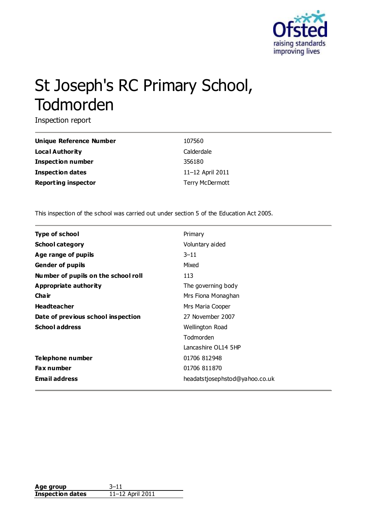

# St Joseph's RC Primary School, Todmorden

Inspection report

| <b>Unique Reference Number</b> | 107560           |
|--------------------------------|------------------|
| <b>Local Authority</b>         | Calderdale       |
| Inspection number              | 356180           |
| <b>Inspection dates</b>        | 11-12 April 2011 |
| <b>Reporting inspector</b>     | Terry McDermott  |

This inspection of the school was carried out under section 5 of the Education Act 2005.

| Type of school                      | Primary                        |
|-------------------------------------|--------------------------------|
| <b>School category</b>              | Voluntary aided                |
| Age range of pupils                 | $3 - 11$                       |
| <b>Gender of pupils</b>             | Mixed                          |
| Number of pupils on the school roll | 113                            |
| Appropriate authority               | The governing body             |
| Cha ir                              | Mrs Fiona Monaghan             |
| <b>Headteacher</b>                  | Mrs Maria Cooper               |
| Date of previous school inspection  | 27 November 2007               |
| <b>School address</b>               | Wellington Road                |
|                                     | Todmorden                      |
|                                     | Lancashire OL14 5HP            |
| Telephone number                    | 01706 812948                   |
| <b>Fax number</b>                   | 01706 811870                   |
| <b>Email address</b>                | headatstjosephstod@yahoo.co.uk |

| Age group               | : ו–?            |
|-------------------------|------------------|
| <b>Inspection dates</b> | 11-12 April 2011 |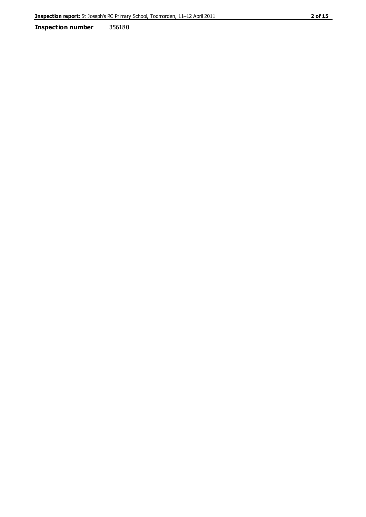**Inspection number** 356180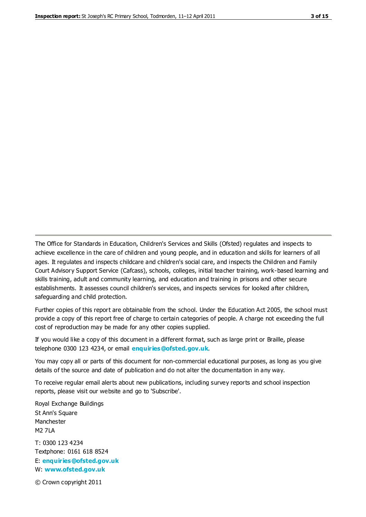The Office for Standards in Education, Children's Services and Skills (Ofsted) regulates and inspects to achieve excellence in the care of children and young people, and in education and skills for learners of all ages. It regulates and inspects childcare and children's social care, and inspects the Children and Family Court Advisory Support Service (Cafcass), schools, colleges, initial teacher training, work-based learning and skills training, adult and community learning, and education and training in prisons and other secure establishments. It assesses council children's services, and inspects services for looked after children, safeguarding and child protection.

Further copies of this report are obtainable from the school. Under the Education Act 2005, the school must provide a copy of this report free of charge to certain categories of people. A charge not exceeding the full cost of reproduction may be made for any other copies supplied.

If you would like a copy of this document in a different format, such as large print or Braille, please telephone 0300 123 4234, or email **[enquiries@ofsted.gov.uk](mailto:enquiries@ofsted.gov.uk)**.

You may copy all or parts of this document for non-commercial educational purposes, as long as you give details of the source and date of publication and do not alter the documentation in any way.

To receive regular email alerts about new publications, including survey reports and school inspection reports, please visit our website and go to 'Subscribe'.

Royal Exchange Buildings St Ann's Square Manchester M2 7LA T: 0300 123 4234 Textphone: 0161 618 8524 E: **[enquiries@ofsted.gov.uk](mailto:enquiries@ofsted.gov.uk)**

W: **[www.ofsted.gov.uk](http://www.ofsted.gov.uk/)**

© Crown copyright 2011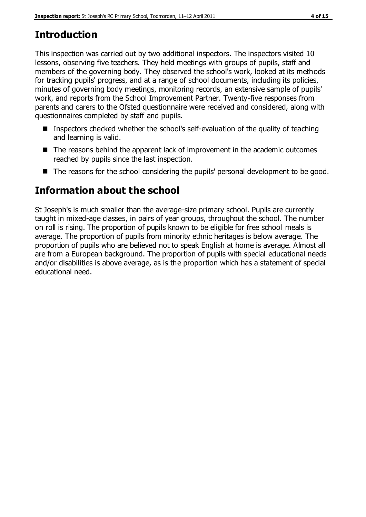# **Introduction**

This inspection was carried out by two additional inspectors. The inspectors visited 10 lessons, observing five teachers. They held meetings with groups of pupils, staff and members of the governing body. They observed the school's work, looked at its methods for tracking pupils' progress, and at a range of school documents, including its policies, minutes of governing body meetings, monitoring records, an extensive sample of pupils' work, and reports from the School Improvement Partner. Twenty-five responses from parents and carers to the Ofsted questionnaire were received and considered, along with questionnaires completed by staff and pupils.

- **I** Inspectors checked whether the school's self-evaluation of the quality of teaching and learning is valid.
- The reasons behind the apparent lack of improvement in the academic outcomes reached by pupils since the last inspection.
- The reasons for the school considering the pupils' personal development to be good.

# **Information about the school**

St Joseph's is much smaller than the average-size primary school. Pupils are currently taught in mixed-age classes, in pairs of year groups, throughout the school. The number on roll is rising. The proportion of pupils known to be eligible for free school meals is average. The proportion of pupils from minority ethnic heritages is below average. The proportion of pupils who are believed not to speak English at home is average. Almost all are from a European background. The proportion of pupils with special educational needs and/or disabilities is above average, as is the proportion which has a statement of special educational need.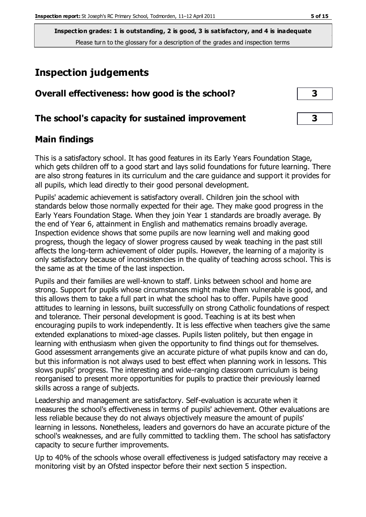# **Inspection judgements**

| Overall effectiveness: how good is the school?  |  |
|-------------------------------------------------|--|
| The school's capacity for sustained improvement |  |

#### **Main findings**

This is a satisfactory school. It has good features in its Early Years Foundation Stage, which gets children off to a good start and lays solid foundations for future learning. There are also strong features in its curriculum and the care guidance and support it provides for all pupils, which lead directly to their good personal development.

Pupils' academic achievement is satisfactory overall. Children join the school with standards below those normally expected for their age. They make good progress in the Early Years Foundation Stage. When they join Year 1 standards are broadly average. By the end of Year 6, attainment in English and mathematics remains broadly average. Inspection evidence shows that some pupils are now learning well and making good progress, though the legacy of slower progress caused by weak teaching in the past still affects the long-term achievement of older pupils. However, the learning of a majority is only satisfactory because of inconsistencies in the quality of teaching across school. This is the same as at the time of the last inspection.

Pupils and their families are well-known to staff. Links between school and home are strong. Support for pupils whose circumstances might make them vulnerable is good, and this allows them to take a full part in what the school has to offer. Pupils have good attitudes to learning in lessons, built successfully on strong Catholic foundations of respect and tolerance. Their personal development is good. Teaching is at its best when encouraging pupils to work independently. It is less effective when teachers give the same extended explanations to mixed-age classes. Pupils listen politely, but then engage in learning with enthusiasm when given the opportunity to find things out for themselves. Good assessment arrangements give an accurate picture of what pupils know and can do, but this information is not always used to best effect when planning work in lessons. This slows pupils' progress. The interesting and wide-ranging classroom curriculum is being reorganised to present more opportunities for pupils to practice their previously learned skills across a range of subjects.

Leadership and management are satisfactory. Self-evaluation is accurate when it measures the school's effectiveness in terms of pupils' achievement. Other evaluations are less reliable because they do not always objectively measure the amount of pupils' learning in lessons. Nonetheless, leaders and governors do have an accurate picture of the school's weaknesses, and are fully committed to tackling them. The school has satisfactory capacity to secure further improvements.

Up to 40% of the schools whose overall effectiveness is judged satisfactory may receive a monitoring visit by an Ofsted inspector before their next section 5 inspection.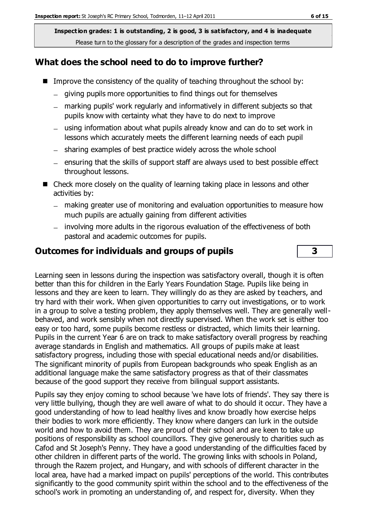#### **What does the school need to do to improve further?**

- Improve the consistency of the quality of teaching throughout the school by:
	- giving pupils more opportunities to find things out for themselves
	- marking pupils' work regularly and informatively in different subjects so that pupils know with certainty what they have to do next to improve
	- using information about what pupils already know and can do to set work in lessons which accurately meets the different learning needs of each pupil
	- sharing examples of best practice widely across the whole school
	- $-$  ensuring that the skills of support staff are always used to best possible effect throughout lessons.
- Check more closely on the quality of learning taking place in lessons and other activities by:
	- making greater use of monitoring and evaluation opportunities to measure how much pupils are actually gaining from different activities
	- involving more adults in the rigorous evaluation of the effectiveness of both pastoral and academic outcomes for pupils.

#### **Outcomes for individuals and groups of pupils 3**

Learning seen in lessons during the inspection was satisfactory overall, though it is often better than this for children in the Early Years Foundation Stage. Pupils like being in lessons and they are keen to learn. They willingly do as they are asked by teachers, and try hard with their work. When given opportunities to carry out investigations, or to work in a group to solve a testing problem, they apply themselves well. They are generally wellbehaved, and work sensibly when not directly supervised. When the work set is either too easy or too hard, some pupils become restless or distracted, which limits their learning. Pupils in the current Year 6 are on track to make satisfactory overall progress by reaching average standards in English and mathematics. All groups of pupils make at least satisfactory progress, including those with special educational needs and/or disabilities. The significant minority of pupils from European backgrounds who speak English as an additional language make the same satisfactory progress as that of their classmates because of the good support they receive from bilingual support assistants.

Pupils say they enjoy coming to school because 'we have lots of friends'. They say there is very little bullying, though they are well aware of what to do should it occur. They have a good understanding of how to lead healthy lives and know broadly how exercise helps their bodies to work more efficiently. They know where dangers can lurk in the outside world and how to avoid them. They are proud of their school and are keen to take up positions of responsibility as school councillors. They give generously to charities such as Cafod and St Joseph's Penny. They have a good understanding of the difficulties faced by other children in different parts of the world. The growing links with schools in Poland, through the Razem project, and Hungary, and with schools of different character in the local area, have had a marked impact on pupils' perceptions of the world. This contributes significantly to the good community spirit within the school and to the effectiveness of the school's work in promoting an understanding of, and respect for, diversity. When they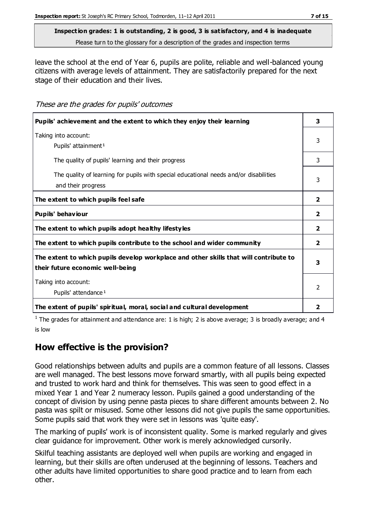leave the school at the end of Year 6, pupils are polite, reliable and well-balanced young citizens with average levels of attainment. They are satisfactorily prepared for the next stage of their education and their lives.

These are the grades for pupils' outcomes

| Pupils' achievement and the extent to which they enjoy their learning                                                     | 3                       |
|---------------------------------------------------------------------------------------------------------------------------|-------------------------|
| Taking into account:<br>Pupils' attainment <sup>1</sup>                                                                   | 3                       |
| The quality of pupils' learning and their progress                                                                        | 3                       |
| The quality of learning for pupils with special educational needs and/or disabilities<br>and their progress               | 3                       |
| The extent to which pupils feel safe                                                                                      | $\overline{2}$          |
| Pupils' behaviour                                                                                                         | $\overline{2}$          |
| The extent to which pupils adopt healthy lifestyles                                                                       | $\overline{\mathbf{2}}$ |
| The extent to which pupils contribute to the school and wider community                                                   | $\overline{2}$          |
| The extent to which pupils develop workplace and other skills that will contribute to<br>their future economic well-being | 3                       |
| Taking into account:<br>Pupils' attendance <sup>1</sup>                                                                   | $\mathcal{P}$           |
| The extent of pupils' spiritual, moral, social and cultural development                                                   | 2                       |

<sup>1</sup> The grades for attainment and attendance are: 1 is high; 2 is above average; 3 is broadly average; and 4 is low

## **How effective is the provision?**

Good relationships between adults and pupils are a common feature of all lessons. Classes are well managed. The best lessons move forward smartly, with all pupils being expected and trusted to work hard and think for themselves. This was seen to good effect in a mixed Year 1 and Year 2 numeracy lesson. Pupils gained a good understanding of the concept of division by using penne pasta pieces to share different amounts between 2. No pasta was spilt or misused. Some other lessons did not give pupils the same opportunities. Some pupils said that work they were set in lessons was 'quite easy'.

The marking of pupils' work is of inconsistent quality. Some is marked regularly and gives clear guidance for improvement. Other work is merely acknowledged cursorily.

Skilful teaching assistants are deployed well when pupils are working and engaged in learning, but their skills are often underused at the beginning of lessons. Teachers and other adults have limited opportunities to share good practice and to learn from each other.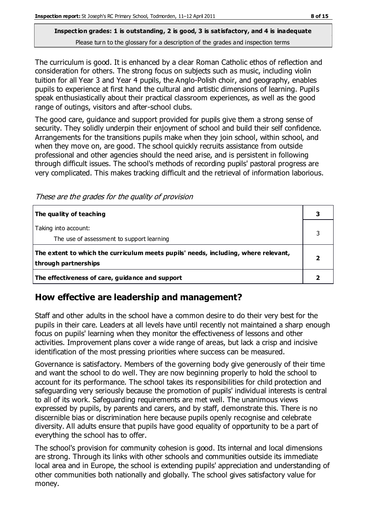The curriculum is good. It is enhanced by a clear Roman Catholic ethos of reflection and consideration for others. The strong focus on subjects such as music, including violin tuition for all Year 3 and Year 4 pupils, the Anglo-Polish choir, and geography, enables pupils to experience at first hand the cultural and artistic dimensions of learning. Pupil s speak enthusiastically about their practical classroom experiences, as well as the good range of outings, visitors and after-school clubs.

The good care, guidance and support provided for pupils give them a strong sense of security. They solidly underpin their enjoyment of school and build their self confidence. Arrangements for the transitions pupils make when they join school, within school, and when they move on, are good. The school quickly recruits assistance from outside professional and other agencies should the need arise, and is persistent in following through difficult issues. The school's methods of recording pupils' pastoral progress are very complicated. This makes tracking difficult and the retrieval of information laborious.

These are the grades for the quality of provision

| The quality of teaching                                                                                    |  |
|------------------------------------------------------------------------------------------------------------|--|
| Taking into account:<br>The use of assessment to support learning                                          |  |
| The extent to which the curriculum meets pupils' needs, including, where relevant,<br>through partnerships |  |
| The effectiveness of care, guidance and support                                                            |  |

## **How effective are leadership and management?**

Staff and other adults in the school have a common desire to do their very best for the pupils in their care. Leaders at all levels have until recently not maintained a sharp enough focus on pupils' learning when they monitor the effectiveness of lessons and other activities. Improvement plans cover a wide range of areas, but lack a crisp and incisive identification of the most pressing priorities where success can be measured.

Governance is satisfactory. Members of the governing body give generously of their time and want the school to do well. They are now beginning properly to hold the school to account for its performance. The school takes its responsibilities for child protection and safeguarding very seriously because the promotion of pupils' individual interests is central to all of its work. Safeguarding requirements are met well. The unanimous views expressed by pupils, by parents and carers, and by staff, demonstrate this. There is no discernible bias or discrimination here because pupils openly recognise and celebrate diversity. All adults ensure that pupils have good equality of opportunity to be a part of everything the school has to offer.

The school's provision for community cohesion is good. Its internal and local dimensions are strong. Through its links with other schools and communities outside its immediate local area and in Europe, the school is extending pupils' appreciation and understanding of other communities both nationally and globally. The school gives satisfactory value for money.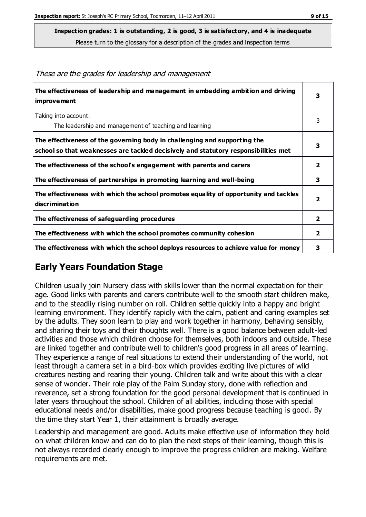**Inspection grades: 1 is outstanding, 2 is good, 3 is satisfactory, and 4 is inadequate**

Please turn to the glossary for a description of the grades and inspection terms

| The effectiveness of leadership and management in embedding ambition and driving<br>improvement                                                                  | 3                       |
|------------------------------------------------------------------------------------------------------------------------------------------------------------------|-------------------------|
| Taking into account:                                                                                                                                             | 3                       |
| The leadership and management of teaching and learning                                                                                                           |                         |
| The effectiveness of the governing body in challenging and supporting the<br>school so that weaknesses are tackled decisively and statutory responsibilities met | 3                       |
| The effectiveness of the school's engagement with parents and carers                                                                                             | $\overline{\mathbf{2}}$ |
| The effectiveness of partnerships in promoting learning and well-being                                                                                           | 3                       |
| The effectiveness with which the school promotes equality of opportunity and tackles<br><b>discrimination</b>                                                    | $\overline{\mathbf{2}}$ |
| The effectiveness of safeguarding procedures                                                                                                                     | $\overline{2}$          |
| The effectiveness with which the school promotes community cohesion                                                                                              | $\mathbf{2}$            |
| The effectiveness with which the school deploys resources to achieve value for money                                                                             | 3                       |

#### These are the grades for leadership and management

## **Early Years Foundation Stage**

Children usually join Nursery class with skills lower than the normal expectation for their age. Good links with parents and carers contribute well to the smooth start children make, and to the steadily rising number on roll. Children settle quickly into a happy and bright learning environment. They identify rapidly with the calm, patient and caring examples set by the adults. They soon learn to play and work together in harmony, behaving sensibly, and sharing their toys and their thoughts well. There is a good balance between adult-led activities and those which children choose for themselves, both indoors and outside. These are linked together and contribute well to children's good progress in all areas of learning. They experience a range of real situations to extend their understanding of the world, not least through a camera set in a bird-box which provides exciting live pictures of wild creatures nesting and rearing their young. Children talk and write about this with a clear sense of wonder. Their role play of the Palm Sunday story, done with reflection and reverence, set a strong foundation for the good personal development that is continued in later years throughout the school. Children of all abilities, including those with special educational needs and/or disabilities, make good progress because teaching is good. By the time they start Year 1, their attainment is broadly average.

Leadership and management are good. Adults make effective use of information they hold on what children know and can do to plan the next steps of their learning, though this is not always recorded clearly enough to improve the progress children are making. Welfare requirements are met.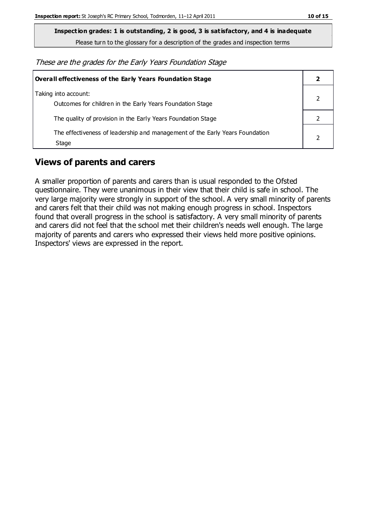**Inspection grades: 1 is outstanding, 2 is good, 3 is satisfactory, and 4 is inadequate**

Please turn to the glossary for a description of the grades and inspection terms

These are the grades for the Early Years Foundation Stage

| Overall effectiveness of the Early Years Foundation Stage                             |  |
|---------------------------------------------------------------------------------------|--|
| Taking into account:<br>Outcomes for children in the Early Years Foundation Stage     |  |
| The quality of provision in the Early Years Foundation Stage                          |  |
| The effectiveness of leadership and management of the Early Years Foundation<br>Stage |  |

## **Views of parents and carers**

A smaller proportion of parents and carers than is usual responded to the Ofsted questionnaire. They were unanimous in their view that their child is safe in school. The very large majority were strongly in support of the school. A very small minority of parents and carers felt that their child was not making enough progress in school. Inspectors found that overall progress in the school is satisfactory. A very small minority of parents and carers did not feel that the school met their children's needs well enough. The large majority of parents and carers who expressed their views held more positive opinions. Inspectors' views are expressed in the report.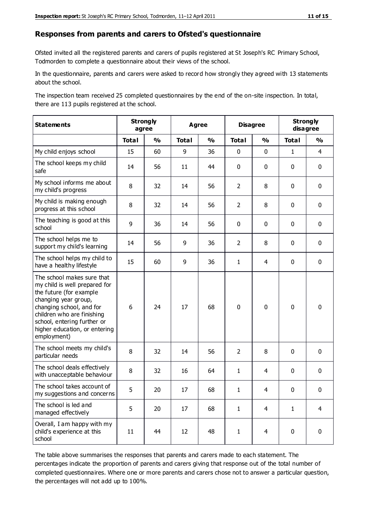#### **Responses from parents and carers to Ofsted's questionnaire**

Ofsted invited all the registered parents and carers of pupils registered at St Joseph's RC Primary School, Todmorden to complete a questionnaire about their views of the school.

In the questionnaire, parents and carers were asked to record how strongly they agreed with 13 statements about the school.

The inspection team received 25 completed questionnaires by the end of the on-site inspection. In total, there are 113 pupils registered at the school.

| <b>Statements</b>                                                                                                                                                                                                                                       | <b>Strongly</b><br>agree |               | <b>Agree</b> |               |                | <b>Disagree</b> |              | <b>Strongly</b><br>disagree |  |
|---------------------------------------------------------------------------------------------------------------------------------------------------------------------------------------------------------------------------------------------------------|--------------------------|---------------|--------------|---------------|----------------|-----------------|--------------|-----------------------------|--|
|                                                                                                                                                                                                                                                         | <b>Total</b>             | $\frac{0}{0}$ | <b>Total</b> | $\frac{0}{0}$ | <b>Total</b>   | $\frac{0}{0}$   | <b>Total</b> | $\frac{0}{0}$               |  |
| My child enjoys school                                                                                                                                                                                                                                  | 15                       | 60            | 9            | 36            | 0              | $\mathbf 0$     | $\mathbf{1}$ | 4                           |  |
| The school keeps my child<br>safe                                                                                                                                                                                                                       | 14                       | 56            | 11           | 44            | 0              | 0               | $\mathbf 0$  | $\mathbf 0$                 |  |
| My school informs me about<br>my child's progress                                                                                                                                                                                                       | 8                        | 32            | 14           | 56            | $\overline{2}$ | 8               | $\mathbf 0$  | $\mathbf 0$                 |  |
| My child is making enough<br>progress at this school                                                                                                                                                                                                    | 8                        | 32            | 14           | 56            | $\overline{2}$ | 8               | 0            | $\mathbf 0$                 |  |
| The teaching is good at this<br>school                                                                                                                                                                                                                  | 9                        | 36            | 14           | 56            | 0              | 0               | $\mathbf{0}$ | $\mathbf 0$                 |  |
| The school helps me to<br>support my child's learning                                                                                                                                                                                                   | 14                       | 56            | 9            | 36            | $\overline{2}$ | 8               | 0            | $\mathbf 0$                 |  |
| The school helps my child to<br>have a healthy lifestyle                                                                                                                                                                                                | 15                       | 60            | 9            | 36            | 1              | 4               | $\mathbf 0$  | $\mathbf 0$                 |  |
| The school makes sure that<br>my child is well prepared for<br>the future (for example<br>changing year group,<br>changing school, and for<br>children who are finishing<br>school, entering further or<br>higher education, or entering<br>employment) | 6                        | 24            | 17           | 68            | $\mathbf 0$    | 0               | $\mathbf 0$  | $\mathbf 0$                 |  |
| The school meets my child's<br>particular needs                                                                                                                                                                                                         | 8                        | 32            | 14           | 56            | $\overline{2}$ | 8               | $\mathbf 0$  | $\mathbf 0$                 |  |
| The school deals effectively<br>with unacceptable behaviour                                                                                                                                                                                             | 8                        | 32            | 16           | 64            | $\mathbf{1}$   | 4               | 0            | $\pmb{0}$                   |  |
| The school takes account of<br>my suggestions and concerns                                                                                                                                                                                              | 5                        | 20            | 17           | 68            | 1              | 4               | $\Omega$     | 0                           |  |
| The school is led and<br>managed effectively                                                                                                                                                                                                            | 5                        | 20            | 17           | 68            | $\mathbf{1}$   | $\overline{4}$  | $\mathbf{1}$ | 4                           |  |
| Overall, I am happy with my<br>child's experience at this<br>school                                                                                                                                                                                     | 11                       | 44            | 12           | 48            | $\mathbf{1}$   | $\overline{4}$  | $\mathbf 0$  | $\mathbf 0$                 |  |

The table above summarises the responses that parents and carers made to each statement. The percentages indicate the proportion of parents and carers giving that response out of the total number of completed questionnaires. Where one or more parents and carers chose not to answer a particular question, the percentages will not add up to 100%.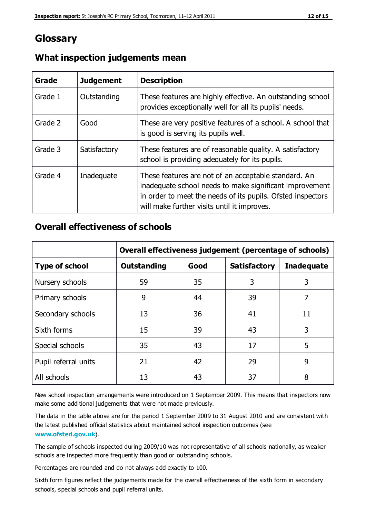## **Glossary**

| Grade   | <b>Judgement</b> | <b>Description</b>                                                                                                                                                                                                            |
|---------|------------------|-------------------------------------------------------------------------------------------------------------------------------------------------------------------------------------------------------------------------------|
| Grade 1 | Outstanding      | These features are highly effective. An outstanding school<br>provides exceptionally well for all its pupils' needs.                                                                                                          |
| Grade 2 | Good             | These are very positive features of a school. A school that<br>is good is serving its pupils well.                                                                                                                            |
| Grade 3 | Satisfactory     | These features are of reasonable quality. A satisfactory<br>school is providing adequately for its pupils.                                                                                                                    |
| Grade 4 | Inadequate       | These features are not of an acceptable standard. An<br>inadequate school needs to make significant improvement<br>in order to meet the needs of its pupils. Ofsted inspectors<br>will make further visits until it improves. |

#### **What inspection judgements mean**

#### **Overall effectiveness of schools**

|                       | Overall effectiveness judgement (percentage of schools) |      |                     |                   |
|-----------------------|---------------------------------------------------------|------|---------------------|-------------------|
| <b>Type of school</b> | <b>Outstanding</b>                                      | Good | <b>Satisfactory</b> | <b>Inadequate</b> |
| Nursery schools       | 59                                                      | 35   | 3                   | 3                 |
| Primary schools       | 9                                                       | 44   | 39                  | 7                 |
| Secondary schools     | 13                                                      | 36   | 41                  | 11                |
| Sixth forms           | 15                                                      | 39   | 43                  | 3                 |
| Special schools       | 35                                                      | 43   | 17                  | 5                 |
| Pupil referral units  | 21                                                      | 42   | 29                  | 9                 |
| All schools           | 13                                                      | 43   | 37                  | 8                 |

New school inspection arrangements were introduced on 1 September 2009. This means that inspectors now make some additional judgements that were not made previously.

The data in the table above are for the period 1 September 2009 to 31 August 2010 and are consistent with the latest published official statistics about maintained school inspec tion outcomes (see **[www.ofsted.gov.uk](http://www.ofsted.gov.uk/)**).

The sample of schools inspected during 2009/10 was not representative of all schools nationally, as weaker schools are inspected more frequently than good or outstanding schools.

Percentages are rounded and do not always add exactly to 100.

Sixth form figures reflect the judgements made for the overall effectiveness of the sixth form in secondary schools, special schools and pupil referral units.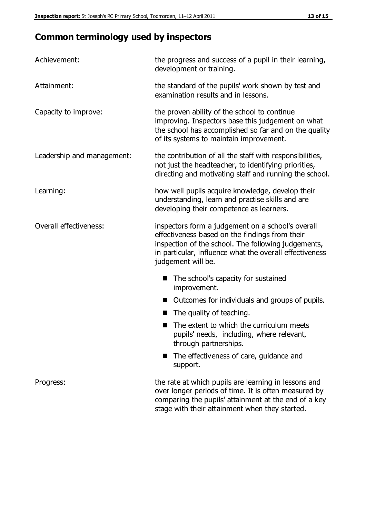# **Common terminology used by inspectors**

| Achievement:               | the progress and success of a pupil in their learning,<br>development or training.                                                                                                                                                          |
|----------------------------|---------------------------------------------------------------------------------------------------------------------------------------------------------------------------------------------------------------------------------------------|
| Attainment:                | the standard of the pupils' work shown by test and<br>examination results and in lessons.                                                                                                                                                   |
| Capacity to improve:       | the proven ability of the school to continue<br>improving. Inspectors base this judgement on what<br>the school has accomplished so far and on the quality<br>of its systems to maintain improvement.                                       |
| Leadership and management: | the contribution of all the staff with responsibilities,<br>not just the headteacher, to identifying priorities,<br>directing and motivating staff and running the school.                                                                  |
| Learning:                  | how well pupils acquire knowledge, develop their<br>understanding, learn and practise skills and are<br>developing their competence as learners.                                                                                            |
| Overall effectiveness:     | inspectors form a judgement on a school's overall<br>effectiveness based on the findings from their<br>inspection of the school. The following judgements,<br>in particular, influence what the overall effectiveness<br>judgement will be. |
|                            | The school's capacity for sustained<br>improvement.                                                                                                                                                                                         |
|                            | Outcomes for individuals and groups of pupils.                                                                                                                                                                                              |
|                            | The quality of teaching.                                                                                                                                                                                                                    |
|                            | The extent to which the curriculum meets<br>pupils' needs, including, where relevant,<br>through partnerships.                                                                                                                              |
|                            | The effectiveness of care, guidance and<br>support.                                                                                                                                                                                         |
| Progress:                  | the rate at which pupils are learning in lessons and<br>over longer periods of time. It is often measured by<br>comparing the pupils' attainment at the end of a key                                                                        |

stage with their attainment when they started.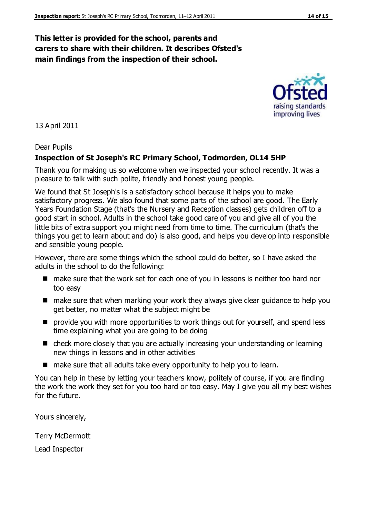#### **This letter is provided for the school, parents and carers to share with their children. It describes Ofsted's main findings from the inspection of their school.**

13 April 2011

#### Dear Pupils

#### **Inspection of St Joseph's RC Primary School, Todmorden, OL14 5HP**

Thank you for making us so welcome when we inspected your school recently. It was a pleasure to talk with such polite, friendly and honest young people.

We found that St Joseph's is a satisfactory school because it helps you to make satisfactory progress. We also found that some parts of the school are good. The Early Years Foundation Stage (that's the Nursery and Reception classes) gets children off to a good start in school. Adults in the school take good care of you and give all of you the little bits of extra support you might need from time to time. The curriculum (that's the things you get to learn about and do) is also good, and helps you develop into responsible and sensible young people.

However, there are some things which the school could do better, so I have asked the adults in the school to do the following:

- make sure that the work set for each one of you in lessons is neither too hard nor too easy
- make sure that when marking your work they always give clear guidance to help you get better, no matter what the subject might be
- **P** provide you with more opportunities to work things out for yourself, and spend less time explaining what you are going to be doing
- check more closely that you are actually increasing your understanding or learning new things in lessons and in other activities
- make sure that all adults take every opportunity to help you to learn.

You can help in these by letting your teachers know, politely of course, if you are finding the work the work they set for you too hard or too easy. May I give you all my best wishes for the future.

Yours sincerely,

Terry McDermott

Lead Inspector